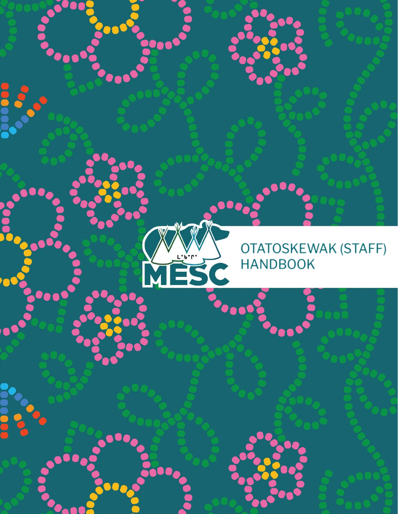

 $L^{\bullet}$ .<br> $L^{\bullet}$ .

É

: 3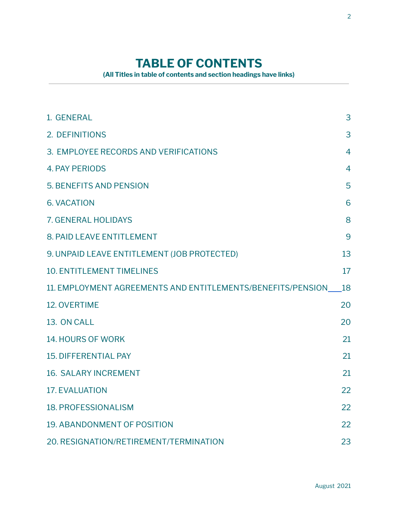# **TABLE OF CONTENTS**

**(All Titles in table of contents and section headings have links)**

<span id="page-1-0"></span>

| 1. GENERAL                                                     | 3              |
|----------------------------------------------------------------|----------------|
| 2. DEFINITIONS                                                 | 3              |
| 3. EMPLOYEE RECORDS AND VERIFICATIONS                          | $\overline{4}$ |
| <b>4. PAY PERIODS</b>                                          | 4              |
| <b>5. BENEFITS AND PENSION</b>                                 | 5              |
| <b>6. VACATION</b>                                             | 6              |
| <b>7. GENERAL HOLIDAYS</b>                                     | 8              |
| 8. PAID LEAVE ENTITLEMENT                                      | 9              |
| 9. UNPAID LEAVE ENTITLEMENT (JOB PROTECTED)                    | 13             |
| <b>10. ENTITLEMENT TIMELINES</b>                               | 17             |
| 11. EMPLOYMENT AGREEMENTS AND ENTITLEMENTS/BENEFITS/PENSION 18 |                |
| <b>12. OVERTIME</b>                                            | 20             |
| 13. ON CALL                                                    | 20             |
| <b>14. HOURS OF WORK</b>                                       | 21             |
| <b>15. DIFFERENTIAL PAY</b>                                    | 21             |
| <b>16. SALARY INCREMENT</b>                                    | 21             |
| <b>17. EVALUATION</b>                                          | 22             |
| <b>18. PROFESSIONALISM</b>                                     | 22             |
| <b>19. ABANDONMENT OF POSITION</b>                             | 22             |
| 20. RESIGNATION/RETIREMENT/TERMINATION                         | 23             |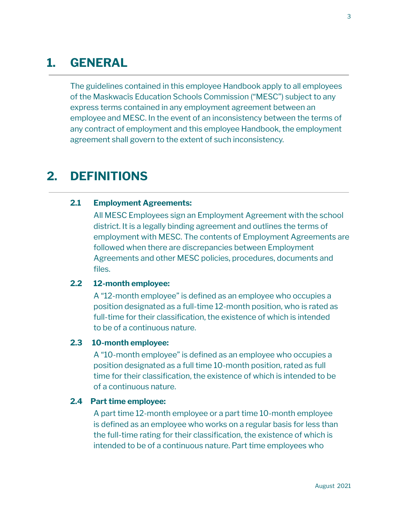# <span id="page-2-0"></span>**1. [GENERAL](#page-1-0)**

The guidelines contained in this employee Handbook apply to all employees of the Maskwacîs Education Schools Commission ("MESC") subject to any express terms contained in any employment agreement between an employee and MESC. In the event of an inconsistency between the terms of any contract of employment and this employee Handbook, the employment agreement shall govern to the extent of such inconsistency.

## <span id="page-2-1"></span>**2. [DEFINITIONS](#page-1-0)**

#### **2.1 Employment Agreements:**

All MESC Employees sign an Employment Agreement with the school district. It is a legally binding agreement and outlines the terms of employment with MESC. The contents of Employment Agreements are followed when there are discrepancies between Employment Agreements and other MESC policies, procedures, documents and files.

#### **2.2 12-month employee:**

A "12-month employee" is defined as an employee who occupies a position designated as a full-time 12-month position, who is rated as full-time for their classification, the existence of which is intended to be of a continuous nature.

#### **2.3 10-month employee:**

A "10-month employee" is defined as an employee who occupies a position designated as a full time 10-month position, rated as full time for their classification, the existence of which is intended to be of a continuous nature.

#### **2.4 Part time employee:**

A part time 12-month employee or a part time 10-month employee is defined as an employee who works on a regular basis for less than the full-time rating for their classification, the existence of which is intended to be of a continuous nature. Part time employees who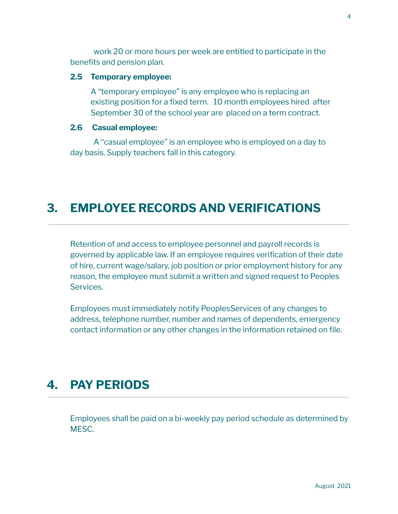work 20 or more hours per week are entitled to participate in the benefits and pension plan.

#### **2.5 Temporary employee:**

A "temporary employee" is any employee who is replacing an existing position for a fixed term. 10 month employees hired after September 30 of the school year are placed on a term contract.

#### **2.6 Casual employee:**

A "casual employee" is an employee who is employed on a day to day basis. Supply teachers fall in this category.

## <span id="page-3-0"></span>**3. EMPLOYEE RECORDS AND [VERIFICATIONS](#page-1-0)**

Retention of and access to employee personnel and payroll records is governed by applicable law. If an employee requires verification of their date of hire, current wage/salary, job position or prior employment history for any reason, the employee must submit a written and signed request to Peoples Services.

Employees must immediately notify PeoplesServices of any changes to address, telephone number, number and names of dependents, emergency contact information or any other changes in the information retained on file.

## <span id="page-3-1"></span>**4. PAY [PERIODS](#page-1-0)**

Employees shall be paid on a bi-weekly pay period schedule as determined by MESC.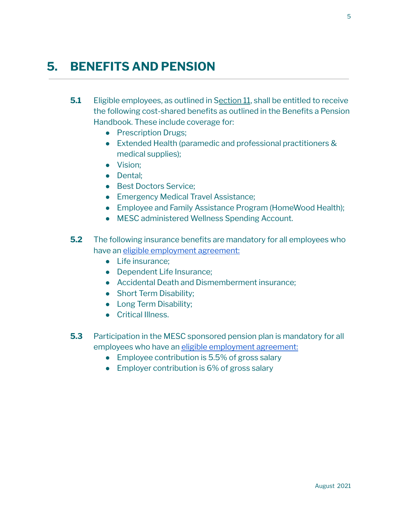# <span id="page-4-0"></span>**5. [BENEFITS](#page-1-0) AND PENSION**

- **5.1** Eligible employees, as outlined in S[ection](#page-17-0) 11, shall be entitled to receive the following cost-shared benefits as outlined in the Benefits a Pension Handbook. These include coverage for:
	- Prescription Drugs;
	- Extended Health (paramedic and professional practitioners & medical supplies);
	- Vision;
	- Dental;
	- Best Doctors Service;
	- Emergency Medical Travel Assistance:
	- Employee and Family Assistance Program (HomeWood Health);
	- MESC administered Wellness Spending Account.
- **5.2** The following insurance benefits are mandatory for all employees who have an eligible [employment](#page-17-0) agreement:
	- Life insurance;
	- Dependent Life Insurance:
	- Accidental Death and Dismemberment insurance:
	- Short Term Disability:
	- Long Term Disability;
	- Critical Illness.
- **5.3** Participation in the MESC sponsored pension plan is mandatory for all employees who have an eligible [employment](#page-17-0) agreement:
	- Employee contribution is 5.5% of gross salary
	- Employer contribution is 6% of gross salary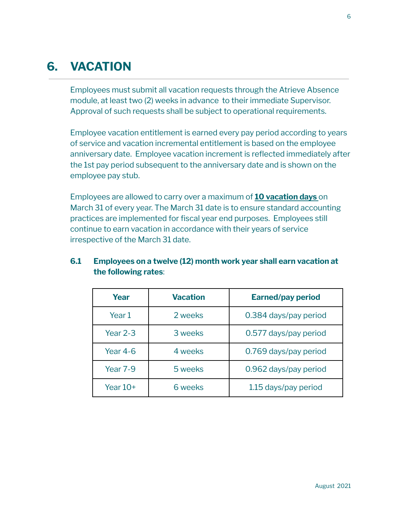# <span id="page-5-0"></span>**6. [VACATION](#page-1-0)**

Employees must submit all vacation requests through the Atrieve Absence module, at least two (2) weeks in advance to their immediate Supervisor. Approval of such requests shall be subject to operational requirements.

Employee vacation entitlement is earned every pay period according to years of service and vacation incremental entitlement is based on the employee anniversary date. Employee vacation increment is reflected immediately after the 1st pay period subsequent to the anniversary date and is shown on the employee pay stub.

Employees are allowed to carry over a maximum of **10 vacation days** on March 31 of every year. The March 31 date is to ensure standard accounting practices are implemented for fiscal year end purposes. Employees still continue to earn vacation in accordance with their years of service irrespective of the March 31 date.

| Year            | <b>Earned/pay period</b><br><b>Vacation</b> |                       |  |
|-----------------|---------------------------------------------|-----------------------|--|
| Year 1          | 2 weeks                                     | 0.384 days/pay period |  |
| <b>Year 2-3</b> | 3 weeks                                     | 0.577 days/pay period |  |
| Year $4-6$      | 4 weeks                                     | 0.769 days/pay period |  |
| Year 7-9        | 5 weeks                                     | 0.962 days/pay period |  |
| Year $10+$      | 6 weeks                                     | 1.15 days/pay period  |  |

### **6.1 Employees on a twelve (12) month work year shall earn vacation at the following rates**: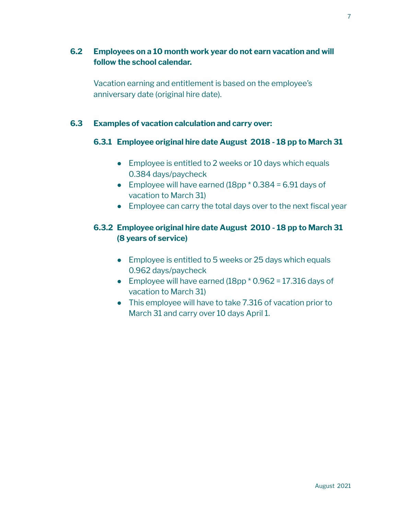## **6.2 Employees on a 10 month work year do not earn vacation and will follow the school calendar.**

Vacation earning and entitlement is based on the employee's anniversary date (original hire date).

### **6.3 Examples of vacation calculation and carry over:**

#### **6.3.1 Employee original hire date August 2018 - 18 pp to March 31**

- Employee is entitled to 2 weeks or 10 days which equals 0.384 days/paycheck
- Employee will have earned  $(18pp * 0.384 = 6.91$  days of vacation to March 31)
- Employee can carry the total days over to the next fiscal year

### **6.3.2 Employee original hire date August 2010 - 18 pp to March 31 (8 years of service)**

- Employee is entitled to 5 weeks or 25 days which equals 0.962 days/paycheck
- Employee will have earned  $(18pp * 0.962 = 17.316$  days of vacation to March 31)
- This employee will have to take 7.316 of vacation prior to March 31 and carry over 10 days April 1.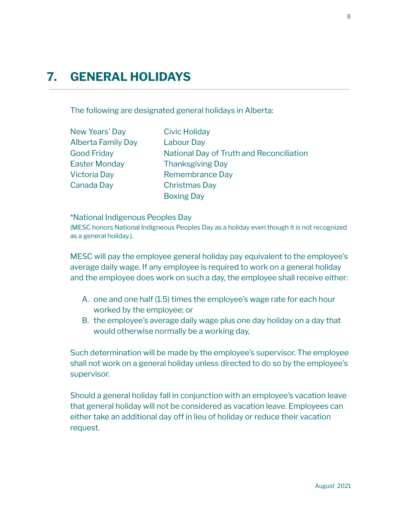# <span id="page-7-0"></span>**7. GENERAL [HOLIDAYS](#page-1-0)**

The following are designated general holidays in Alberta:

| New Years' Day            | <b>Civic Holiday</b>                     |
|---------------------------|------------------------------------------|
| <b>Alberta Family Day</b> | <b>Labour Day</b>                        |
| <b>Good Friday</b>        | National Day of Truth and Reconciliation |
| <b>Easter Monday</b>      | <b>Thanksgiving Day</b>                  |
| Victoria Day              | <b>Remembrance Day</b>                   |
| Canada Day                | <b>Christmas Day</b>                     |
|                           | <b>Boxing Day</b>                        |

\*National Indigenous Peoples Day

(MESC honors National Indigneous Peoples Day as a holiday even though it is not recognized as a general holiday.).

MESC will pay the employee general holiday pay equivalent to the employee's average daily wage. If any employee is required to work on a general holiday and the employee does work on such a day, the employee shall receive either:

- A. one and one half (1.5) times the employee's wage rate for each hour worked by the employee; or
- B. the employee's average daily wage plus one day holiday on a day that would otherwise normally be a working day,

Such determination will be made by the employee's supervisor. The employee shall not work on a general holiday unless directed to do so by the employee's supervisor.

Should a general holiday fall in conjunction with an employee's vacation leave that general holiday will not be considered as vacation leave. Employees can either take an additional day off in lieu of holiday or reduce their vacation request.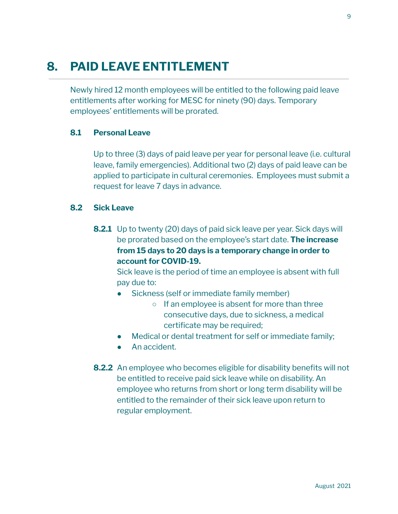# <span id="page-8-0"></span>**8. PAID LEAVE [ENTITLEMENT](#page-1-0)**

Newly hired 12 month employees will be entitled to the following paid leave entitlements after working for MESC for ninety (90) days. Temporary employees' entitlements will be prorated.

#### **8.1 Personal Leave**

Up to three (3) days of paid leave per year for personal leave (i.e. cultural leave, family emergencies). Additional two (2) days of paid leave can be applied to participate in cultural ceremonies. Employees must submit a request for leave 7 days in advance.

#### **8.2 Sick Leave**

**8.2.1** Up to twenty (20) days of paid sick leave per year. Sick days will be prorated based on the employee's start date. **The increase from 15 days to 20 days is a temporary change in order to account for COVID-19.**

Sick leave is the period of time an employee is absent with full pay due to:

- Sickness (self or immediate family member)
	- If an employee is absent for more than three consecutive days, due to sickness, a medical certificate may be required;
- Medical or dental treatment for self or immediate family;
- An accident.
- **8.2.2** An employee who becomes eligible for disability benefits will not be entitled to receive paid sick leave while on disability. An employee who returns from short or long term disability will be entitled to the remainder of their sick leave upon return to regular employment.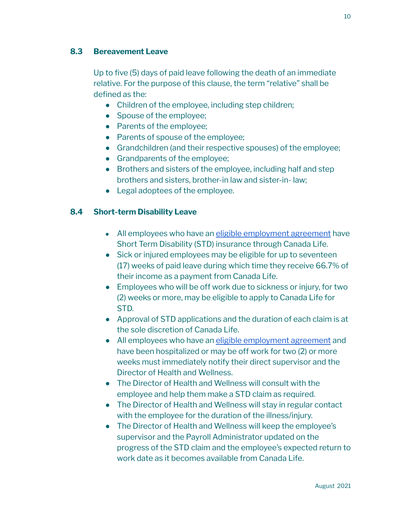### **8.3 Bereavement Leave**

Up to five (5) days of paid leave following the death of an immediate relative. For the purpose of this clause, the term "relative" shall be defined as the:

- Children of the employee, including step children;
- Spouse of the employee;
- Parents of the employee;
- Parents of spouse of the employee;
- Grandchildren (and their respective spouses) of the employee;
- Grandparents of the employee;
- Brothers and sisters of the employee, including half and step brothers and sisters, brother-in law and sister-in- law;
- Legal adoptees of the employee.

### **8.4 Short-term Disability Leave**

- All employees who have an eligible [employment](#page-17-0) agreement have Short Term Disability (STD) insurance through Canada Life.
- Sick or injured employees may be eligible for up to seventeen (17) weeks of paid leave during which time they receive 66.7% of their income as a payment from Canada Life.
- Employees who will be off work due to sickness or injury, for two (2) weeks or more, may be eligible to apply to Canada Life for STD.
- Approval of STD applications and the duration of each claim is at the sole discretion of Canada Life.
- All employees who have an eligible [employment](#page-17-0) agreement and have been hospitalized or may be off work for two (2) or more weeks must immediately notify their direct supervisor and the Director of Health and Wellness.
- The Director of Health and Wellness will consult with the employee and help them make a STD claim as required.
- The Director of Health and Wellness will stay in regular contact with the employee for the duration of the illness/injury.
- The Director of Health and Wellness will keep the employee's supervisor and the Payroll Administrator updated on the progress of the STD claim and the employee's expected return to work date as it becomes available from Canada Life.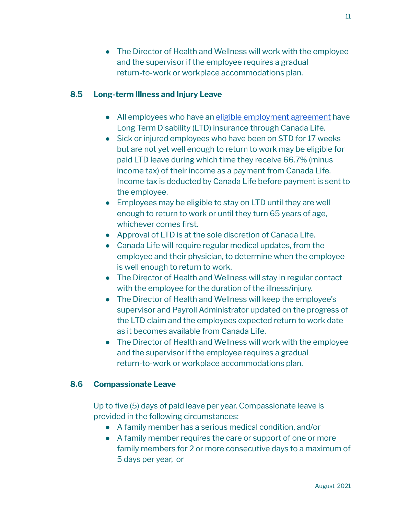• The Director of Health and Wellness will work with the employee and the supervisor if the employee requires a gradual return-to-work or workplace accommodations plan.

### **8.5 Long-term Illness and Injury Leave**

- All employees who have an eligible [employment](#page-17-0) agreement have Long Term Disability (LTD) insurance through Canada Life.
- Sick or injured employees who have been on STD for 17 weeks but are not yet well enough to return to work may be eligible for paid LTD leave during which time they receive 66.7% (minus income tax) of their income as a payment from Canada Life. Income tax is deducted by Canada Life before payment is sent to the employee.
- Employees may be eligible to stay on LTD until they are well enough to return to work or until they turn 65 years of age, whichever comes first.
- Approval of LTD is at the sole discretion of Canada Life.
- Canada Life will require regular medical updates, from the employee and their physician, to determine when the employee is well enough to return to work.
- The Director of Health and Wellness will stay in regular contact with the employee for the duration of the illness/injury.
- The Director of Health and Wellness will keep the employee's supervisor and Payroll Administrator updated on the progress of the LTD claim and the employees expected return to work date as it becomes available from Canada Life.
- The Director of Health and Wellness will work with the employee and the supervisor if the employee requires a gradual return-to-work or workplace accommodations plan.

### **8.6 Compassionate Leave**

Up to five (5) days of paid leave per year. Compassionate leave is provided in the following circumstances:

- A family member has a serious medical condition, and/or
- A family member requires the care or support of one or more family members for 2 or more consecutive days to a maximum of 5 days per year, or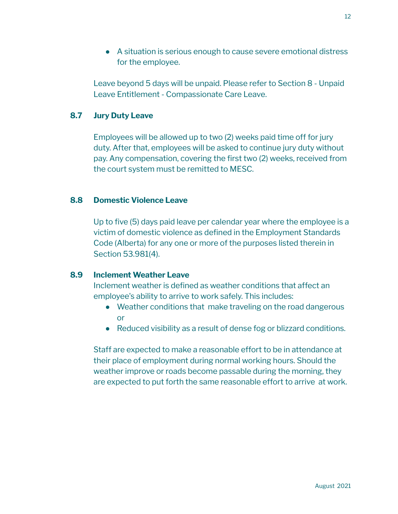● A situation is serious enough to cause severe emotional distress for the employee.

Leave beyond 5 days will be unpaid. Please refer to Section 8 - Unpaid Leave Entitlement - Compassionate Care Leave.

### **8.7 Jury Duty Leave**

Employees will be allowed up to two (2) weeks paid time off for jury duty. After that, employees will be asked to continue jury duty without pay. Any compensation, covering the first two (2) weeks, received from the court system must be remitted to MESC.

#### **8.8 Domestic Violence Leave**

Up to five (5) days paid leave per calendar year where the employee is a victim of domestic violence as defined in the Employment Standards Code (Alberta) for any one or more of the purposes listed therein in Section 53.981(4).

#### **8.9 Inclement Weather Leave**

Inclement weather is defined as weather conditions that affect an employee's ability to arrive to work safely. This includes:

- Weather conditions that make traveling on the road dangerous or
- Reduced visibility as a result of dense fog or blizzard conditions.

Staff are expected to make a reasonable effort to be in attendance at their place of employment during normal working hours. Should the weather improve or roads become passable during the morning, they are expected to put forth the same reasonable effort to arrive at work.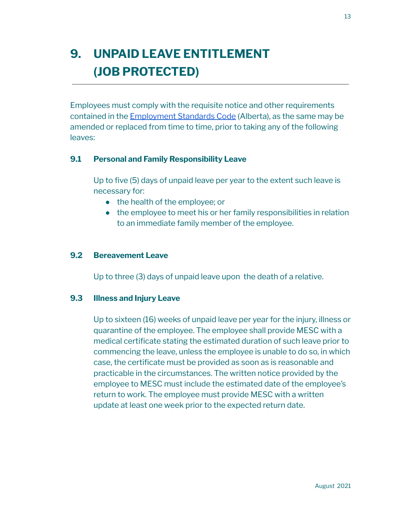# <span id="page-12-0"></span>**9. UNPAID LEAVE [ENTITLEMENT](#page-1-0) (JOB [PROTECTED\)](#page-1-0)**

Employees must comply with the requisite notice and other requirements contained in the [Employment](https://www.alberta.ca/job-protected-leaves.aspx) Standards Code (Alberta), as the same may be amended or replaced from time to time, prior to taking any of the following leaves:

### **9.1 Personal and Family Responsibility Leave**

Up to five (5) days of unpaid leave per year to the extent such leave is necessary for:

- the health of the employee; or
- the employee to meet his or her family responsibilities in relation to an immediate family member of the employee.

#### **9.2 Bereavement Leave**

Up to three (3) days of unpaid leave upon the death of a relative.

#### **9.3 Illness and Injury Leave**

Up to sixteen (16) weeks of unpaid leave per year for the injury, illness or quarantine of the employee. The employee shall provide MESC with a medical certificate stating the estimated duration of such leave prior to commencing the leave, unless the employee is unable to do so, in which case, the certificate must be provided as soon as is reasonable and practicable in the circumstances. The written notice provided by the employee to MESC must include the estimated date of the employee's return to work. The employee must provide MESC with a written update at least one week prior to the expected return date.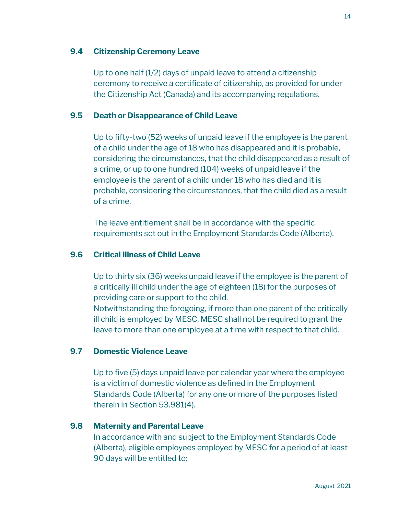#### **9.4 Citizenship Ceremony Leave**

Up to one half (1/2) days of unpaid leave to attend a citizenship ceremony to receive a certificate of citizenship, as provided for under the Citizenship Act (Canada) and its accompanying regulations.

#### **9.5 Death or Disappearance of Child Leave**

Up to fifty-two (52) weeks of unpaid leave if the employee is the parent of a child under the age of 18 who has disappeared and it is probable, considering the circumstances, that the child disappeared as a result of a crime, or up to one hundred (104) weeks of unpaid leave if the employee is the parent of a child under 18 who has died and it is probable, considering the circumstances, that the child died as a result of a crime.

The leave entitlement shall be in accordance with the specific requirements set out in the Employment Standards Code (Alberta).

### **9.6 Critical Illness of Child Leave**

Up to thirty six (36) weeks unpaid leave if the employee is the parent of a critically ill child under the age of eighteen (18) for the purposes of providing care or support to the child.

Notwithstanding the foregoing, if more than one parent of the critically ill child is employed by MESC, MESC shall not be required to grant the leave to more than one employee at a time with respect to that child.

### **9.7 Domestic Violence Leave**

Up to five (5) days unpaid leave per calendar year where the employee is a victim of domestic violence as defined in the Employment Standards Code (Alberta) for any one or more of the purposes listed therein in Section 53.981(4).

#### **9.8 Maternity and Parental Leave**

In accordance with and subject to the Employment Standards Code (Alberta), eligible employees employed by MESC for a period of at least 90 days will be entitled to: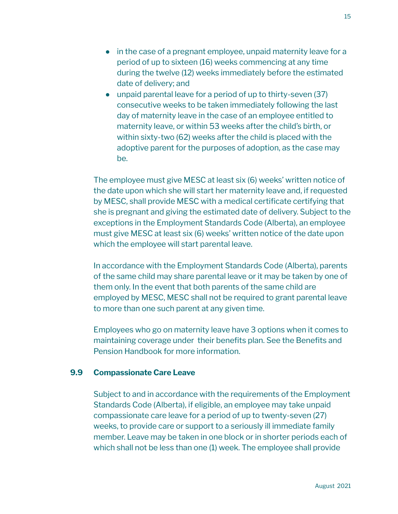- in the case of a pregnant employee, unpaid maternity leave for a period of up to sixteen (16) weeks commencing at any time during the twelve (12) weeks immediately before the estimated date of delivery; and
- unpaid parental leave for a period of up to thirty-seven (37) consecutive weeks to be taken immediately following the last day of maternity leave in the case of an employee entitled to maternity leave, or within 53 weeks after the child's birth, or within sixty-two (62) weeks after the child is placed with the adoptive parent for the purposes of adoption, as the case may be.

The employee must give MESC at least six (6) weeks' written notice of the date upon which she will start her maternity leave and, if requested by MESC, shall provide MESC with a medical certificate certifying that she is pregnant and giving the estimated date of delivery. Subject to the exceptions in the Employment Standards Code (Alberta), an employee must give MESC at least six (6) weeks' written notice of the date upon which the employee will start parental leave.

In accordance with the Employment Standards Code (Alberta), parents of the same child may share parental leave or it may be taken by one of them only. In the event that both parents of the same child are employed by MESC, MESC shall not be required to grant parental leave to more than one such parent at any given time.

Employees who go on maternity leave have 3 options when it comes to maintaining coverage under their benefits plan. See the Benefits and Pension Handbook for more information.

#### **9.9 Compassionate Care Leave**

Subject to and in accordance with the requirements of the Employment Standards Code (Alberta), if eligible, an employee may take unpaid compassionate care leave for a period of up to twenty-seven (27) weeks, to provide care or support to a seriously ill immediate family member. Leave may be taken in one block or in shorter periods each of which shall not be less than one (1) week. The employee shall provide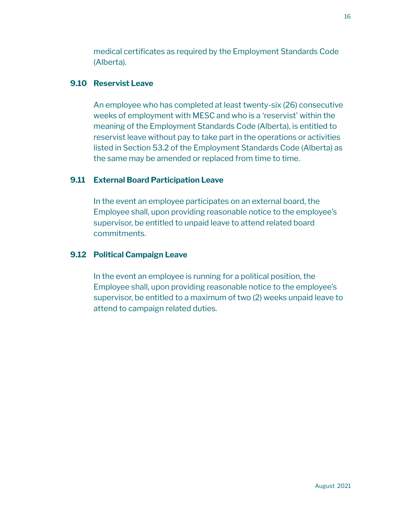medical certificates as required by the Employment Standards Code (Alberta).

### **9.10 Reservist Leave**

An employee who has completed at least twenty-six (26) consecutive weeks of employment with MESC and who is a 'reservist' within the meaning of the Employment Standards Code (Alberta), is entitled to reservist leave without pay to take part in the operations or activities listed in Section 53.2 of the Employment Standards Code (Alberta) as the same may be amended or replaced from time to time.

## **9.11 External Board Participation Leave**

In the event an employee participates on an external board, the Employee shall, upon providing reasonable notice to the employee's supervisor, be entitled to unpaid leave to attend related board commitments.

### **9.12 Political Campaign Leave**

In the event an employee is running for a political position, the Employee shall, upon providing reasonable notice to the employee's supervisor, be entitled to a maximum of two (2) weeks unpaid leave to attend to campaign related duties.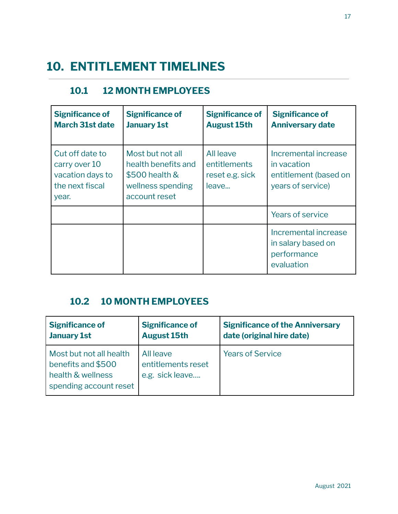# <span id="page-16-0"></span>**10. [ENTITLEMENT](#page-1-0) TIMELINES**

## **10.1 12 MONTH EMPLOYEES**

| <b>Significance of</b><br><b>March 31st date</b>                                 | <b>Significance of</b><br><b>January 1st</b>                                                    | <b>Significance of</b><br><b>August 15th</b>          | <b>Significance of</b><br><b>Anniversary date</b>                                 |
|----------------------------------------------------------------------------------|-------------------------------------------------------------------------------------------------|-------------------------------------------------------|-----------------------------------------------------------------------------------|
| Cut off date to<br>carry over 10<br>vacation days to<br>the next fiscal<br>year. | Most but not all<br>health benefits and<br>\$500 health &<br>wellness spending<br>account reset | All leave<br>entitlements<br>reset e.g. sick<br>leave | Incremental increase<br>in vacation<br>entitlement (based on<br>years of service) |
|                                                                                  |                                                                                                 |                                                       | Years of service                                                                  |
|                                                                                  |                                                                                                 |                                                       | Incremental increase<br>in salary based on<br>performance<br>evaluation           |

## **10.2 10 MONTH EMPLOYEES**

| <b>Significance of</b>                                                                       | <b>Significance of</b>                             | <b>Significance of the Anniversary</b> |
|----------------------------------------------------------------------------------------------|----------------------------------------------------|----------------------------------------|
| <b>January 1st</b>                                                                           | <b>August 15th</b>                                 | date (original hire date)              |
| Most but not all health<br>benefits and \$500<br>health & wellness<br>spending account reset | All leave<br>entitlements reset<br>e.g. sick leave | <b>Years of Service</b>                |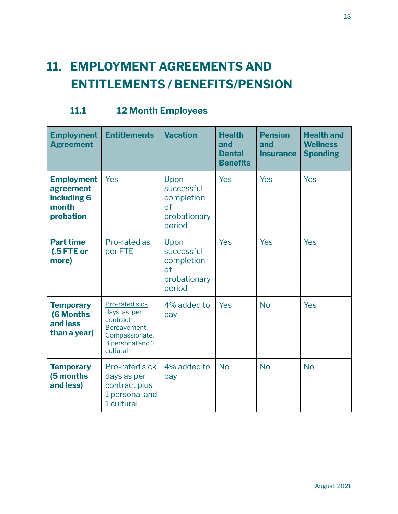# <span id="page-17-0"></span>**11. [EMPLOYMENT](#page-1-0) AGREEMENTS AND ENTITLEMENTS / [BENEFITS/PENSION](#page-1-0)**

|  | <b>11.1</b> | <b>12 Month Employees</b> |  |
|--|-------------|---------------------------|--|
|--|-------------|---------------------------|--|

| <b>Employment</b><br><b>Agreement</b>                               | <b>Entitlements</b>                                                                                          | <b>Vacation</b>                                                             | <b>Health</b><br>and<br><b>Dental</b><br><b>Benefits</b> | <b>Pension</b><br>and<br><b>Insurance</b> | <b>Health and</b><br><b>Wellness</b><br><b>Spending</b> |
|---------------------------------------------------------------------|--------------------------------------------------------------------------------------------------------------|-----------------------------------------------------------------------------|----------------------------------------------------------|-------------------------------------------|---------------------------------------------------------|
| <b>Employment</b><br>agreement<br>including 6<br>month<br>probation | <b>Yes</b>                                                                                                   | Upon<br>successful<br>completion<br>$\sigma$ f<br>probationary<br>period    | <b>Yes</b>                                               | Yes                                       | Yes                                                     |
| <b>Part time</b><br>(.5 FTE or<br>more)                             | Pro-rated as<br>per FTE                                                                                      | Upon<br>successful<br>completion<br><sub>of</sub><br>probationary<br>period | Yes                                                      | Yes                                       | <b>Yes</b>                                              |
| <b>Temporary</b><br><b>(6 Months)</b><br>and less<br>than a year)   | Pro-rated sick<br>days as per<br>contract*<br>Bereavement,<br>Compassionate,<br>3 personal and 2<br>cultural | 4% added to<br>pay                                                          | Yes                                                      | <b>No</b>                                 | <b>Yes</b>                                              |
| <b>Temporary</b><br>(5 months<br>and less)                          | <b>Pro-rated sick</b><br>days as per<br>contract plus<br>1 personal and<br>1 cultural                        | 4% added to<br>pay                                                          | <b>No</b>                                                | <b>No</b>                                 | <b>No</b>                                               |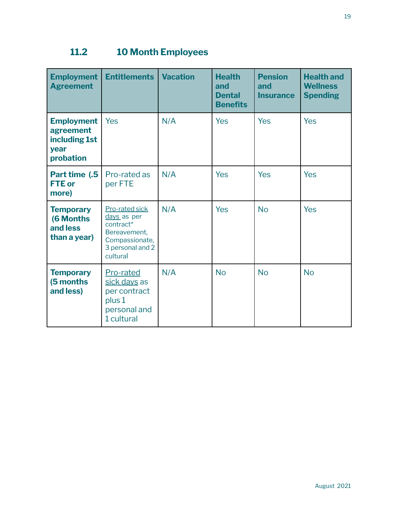## **11.2 10 Month Employees**

| <b>Employment</b><br><b>Agreement</b>                                | <b>Entitlements</b>                                                                                          | <b>Vacation</b> | <b>Health</b><br>and<br><b>Dental</b><br><b>Benefits</b> | <b>Pension</b><br>and<br><b>Insurance</b> | <b>Health and</b><br><b>Wellness</b><br><b>Spending</b> |
|----------------------------------------------------------------------|--------------------------------------------------------------------------------------------------------------|-----------------|----------------------------------------------------------|-------------------------------------------|---------------------------------------------------------|
| <b>Employment</b><br>agreement<br>including 1st<br>year<br>probation | Yes                                                                                                          | N/A             | Yes                                                      | <b>Yes</b>                                | <b>Yes</b>                                              |
| Part time (.5<br><b>FTE</b> or<br>more)                              | Pro-rated as<br>per FTE                                                                                      | N/A             | Yes                                                      | <b>Yes</b>                                | <b>Yes</b>                                              |
| <b>Temporary</b><br><b>(6 Months)</b><br>and less<br>than a year)    | Pro-rated sick<br>days as per<br>contract*<br>Bereavement,<br>Compassionate,<br>3 personal and 2<br>cultural | N/A             | Yes                                                      | <b>No</b>                                 | Yes                                                     |
| <b>Temporary</b><br>(5 months<br>and less)                           | Pro-rated<br>sick days as<br>per contract<br>plus 1<br>personal and<br>1 cultural                            | N/A             | <b>No</b>                                                | <b>No</b>                                 | <b>No</b>                                               |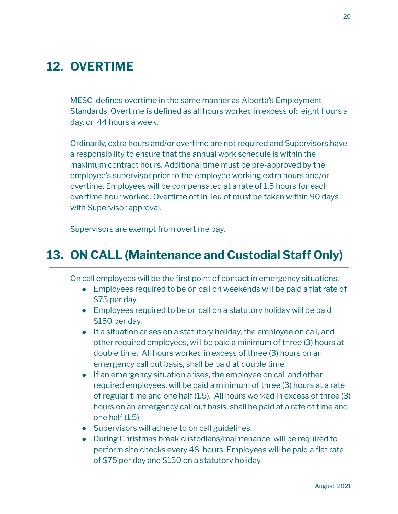# <span id="page-19-0"></span>**12. [OVERTIME](#page-1-0)**

MESC defines overtime in the same manner as Alberta's Employment Standards. Overtime is defined as all hours worked in excess of: eight hours a day, or 44 hours a week.

Ordinarily, extra hours and/or overtime are not required and Supervisors have a responsibility to ensure that the annual work schedule is within the maximum contract hours. Additional time must be pre-approved by the employee's supervisor prior to the employee working extra hours and/or overtime. Employees will be compensated at a rate of 1.5 hours for each overtime hour worked. Overtime off in lieu of must be taken within 90 days with Supervisor approval.

Supervisors are exempt from overtime pay.

## <span id="page-19-1"></span>**13. ON CALL [\(Maintenance](#page-1-0) and Custodial Staff Only)**

On call employees will be the first point of contact in emergency situations.

- Employees required to be on call on weekends will be paid a flat rate of \$75 per day.
- Employees required to be on call on a statutory holiday will be paid \$150 per day.
- If a situation arises on a statutory holiday, the employee on call, and other required employees, will be paid a minimum of three (3) hours at double time. All hours worked in excess of three (3) hours on an emergency call out basis, shall be paid at double time.
- If an emergency situation arises, the employee on call and other required employees, will be paid a minimum of three (3) hours at a rate of regular time and one half (1.5). All hours worked in excess of three (3) hours on an emergency call out basis, shall be paid at a rate of time and one half (1.5).
- Supervisors will adhere to on call guidelines.
- During Christmas break custodians/maintenance will be required to perform site checks every 48 hours. Employees will be paid a flat rate of \$75 per day and \$150 on a statutory holiday.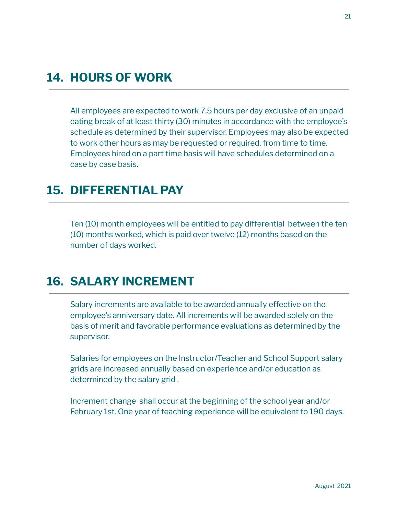# <span id="page-20-0"></span>**14. [HOURS](#page-1-0) OF WORK**

All employees are expected to work 7.5 hours per day exclusive of an unpaid eating break of at least thirty (30) minutes in accordance with the employee's schedule as determined by their supervisor. Employees may also be expected to work other hours as may be requested or required, from time to time. Employees hired on a part time basis will have schedules determined on a case by case basis.

## <span id="page-20-1"></span>**15. [DIFFERENTIAL](#page-1-0) PAY**

Ten (10) month employees will be entitled to pay differential between the ten (10) months worked, which is paid over twelve (12) months based on the number of days worked.

## <span id="page-20-2"></span>**16. SALARY [INCREMENT](#page-1-0)**

Salary increments are available to be awarded annually effective on the employee's anniversary date. All increments will be awarded solely on the basis of merit and favorable performance evaluations as determined by the supervisor.

Salaries for employees on the Instructor/Teacher and School Support salary grids are increased annually based on experience and/or education as determined by the salary grid .

Increment change shall occur at the beginning of the school year and/or February 1st. One year of teaching experience will be equivalent to 190 days.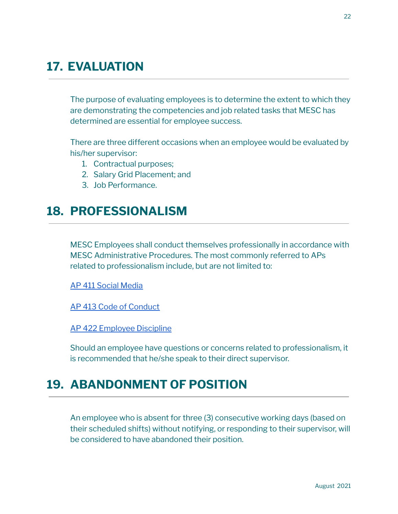# <span id="page-21-2"></span>**17. [EVALUATION](#page-1-0)**

The purpose of evaluating employees is to determine the extent to which they are demonstrating the competencies and job related tasks that MESC has determined are essential for employee success.

There are three different occasions when an employee would be evaluated by his/her supervisor:

- 1. Contractual purposes;
- 2. Salary Grid Placement; and
- 3. Job Performance.

## <span id="page-21-1"></span>**18. [PROFESSIONALISM](#page-1-0)**

MESC Employees shall conduct themselves professionally in accordance with MESC Administrative Procedures. The most commonly referred to APs related to professionalism include, but are not limited to:

AP 411 Social [Media](http://www.maskwacised.ca/download/411-social-media/?wpdmdl=1637&ind=1538586611193)

AP 413 Code of [Conduct](http://www.maskwacised.ca/download/413-code-of-conduct/?wpdmdl=1638&ind=1538586680771)

AP 422 [Employee](http://www.maskwacised.ca/download/422-employee-discipline/?wpdmdl=1648&ind=1538588041161) Discipline

Should an employee have questions or concerns related to professionalism, it is recommended that he/she speak to their direct supervisor.

## <span id="page-21-0"></span>**19. [ABANDONMENT](#page-1-0) OF POSITION**

An employee who is absent for three (3) consecutive working days (based on their scheduled shifts) without notifying, or responding to their supervisor, will be considered to have abandoned their position.